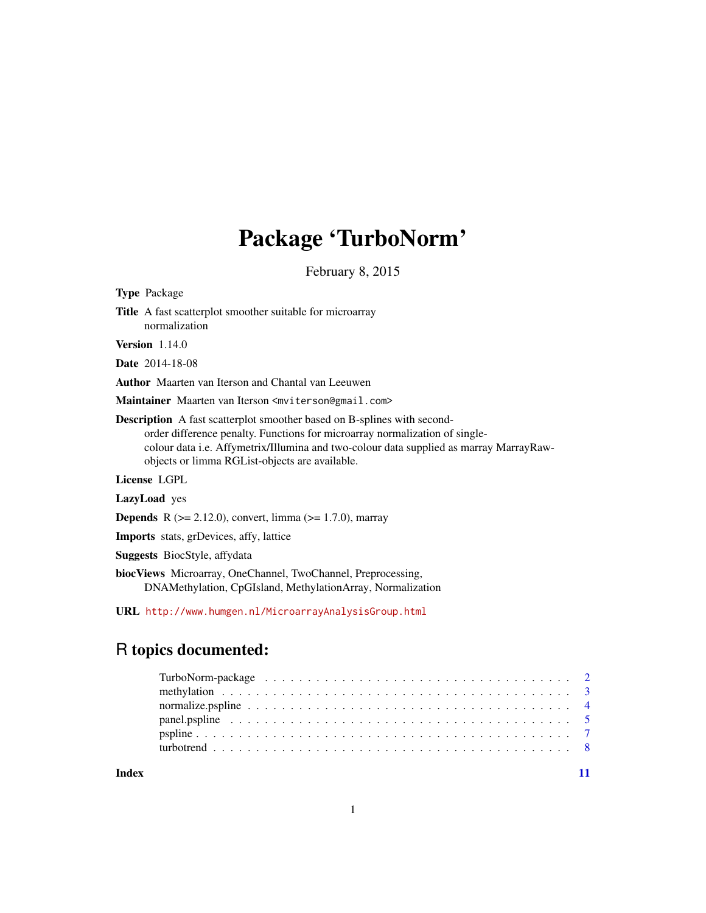# Package 'TurboNorm'

February 8, 2015

<span id="page-0-0"></span>

| <b>Type Package</b>                                                                                                                                                                                                                                                                                              |
|------------------------------------------------------------------------------------------------------------------------------------------------------------------------------------------------------------------------------------------------------------------------------------------------------------------|
| <b>Title</b> A fast scatterplot smoother suitable for microarray<br>normalization                                                                                                                                                                                                                                |
| <b>Version</b> 1.14.0                                                                                                                                                                                                                                                                                            |
| <b>Date</b> 2014-18-08                                                                                                                                                                                                                                                                                           |
| Author Maarten van Iterson and Chantal van Leeuwen                                                                                                                                                                                                                                                               |
| M <b>aintainer</b> Maarten van Iterson <mviterson@gmail.com></mviterson@gmail.com>                                                                                                                                                                                                                               |
| <b>Description</b> A fast scatterplot smoother based on B-splines with second-<br>order difference penalty. Functions for microarray normalization of single-<br>colour data <i>i.e.</i> Affymetrix/Illumina and two-colour data supplied as marray MarrayRaw-<br>objects or limma RGList-objects are available. |
| <b>License LGPL</b>                                                                                                                                                                                                                                                                                              |
| LazyLoad yes                                                                                                                                                                                                                                                                                                     |
| <b>Depends</b> R ( $>= 2.12.0$ ), convert, limma ( $>= 1.7.0$ ), marray                                                                                                                                                                                                                                          |
| <b>Imports</b> stats, grDevices, affy, lattice                                                                                                                                                                                                                                                                   |
|                                                                                                                                                                                                                                                                                                                  |

Suggests BiocStyle, affydata

biocViews Microarray, OneChannel, TwoChannel, Preprocessing, DNAMethylation, CpGIsland, MethylationArray, Normalization

URL <http://www.humgen.nl/MicroarrayAnalysisGroup.html>

# R topics documented:

**Index** [11](#page-10-0)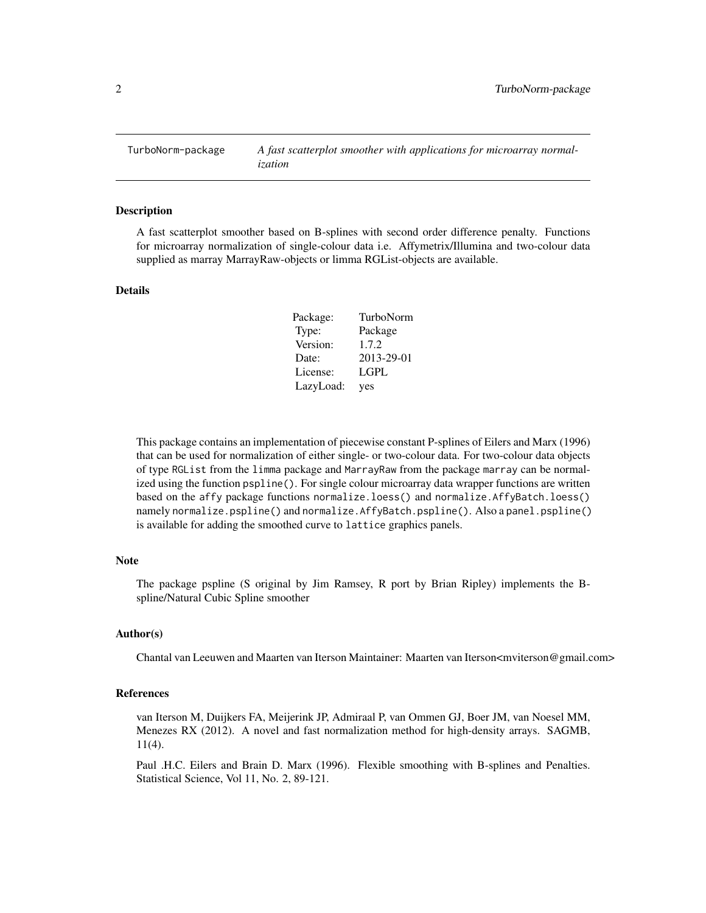<span id="page-1-0"></span>TurboNorm-package *A fast scatterplot smoother with applications for microarray normalization*

#### **Description**

A fast scatterplot smoother based on B-splines with second order difference penalty. Functions for microarray normalization of single-colour data i.e. Affymetrix/Illumina and two-colour data supplied as marray MarrayRaw-objects or limma RGList-objects are available.

#### Details

| Package:  | TurboNorm   |
|-----------|-------------|
| Type:     | Package     |
| Version:  | 1.7.2       |
| Date:     | 2013-29-01  |
| License:  | <b>LGPL</b> |
| LazyLoad: | yes         |

This package contains an implementation of piecewise constant P-splines of Eilers and Marx (1996) that can be used for normalization of either single- or two-colour data. For two-colour data objects of type RGList from the limma package and MarrayRaw from the package marray can be normalized using the function pspline(). For single colour microarray data wrapper functions are written based on the affy package functions normalize.loess() and normalize.AffyBatch.loess() namely normalize.pspline() and normalize.AffyBatch.pspline(). Also a panel.pspline() is available for adding the smoothed curve to lattice graphics panels.

## **Note**

The package pspline (S original by Jim Ramsey, R port by Brian Ripley) implements the Bspline/Natural Cubic Spline smoother

#### Author(s)

Chantal van Leeuwen and Maarten van Iterson Maintainer: Maarten van Iterson<mviterson@gmail.com>

# References

van Iterson M, Duijkers FA, Meijerink JP, Admiraal P, van Ommen GJ, Boer JM, van Noesel MM, Menezes RX (2012). A novel and fast normalization method for high-density arrays. SAGMB, 11(4).

Paul .H.C. Eilers and Brain D. Marx (1996). Flexible smoothing with B-splines and Penalties. Statistical Science, Vol 11, No. 2, 89-121.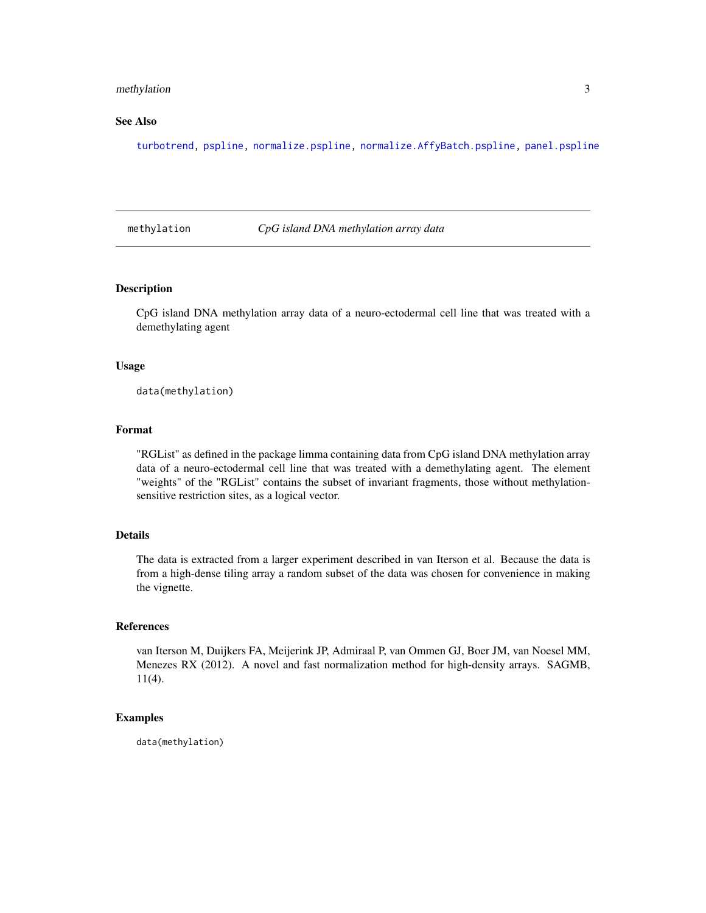# <span id="page-2-0"></span>methylation 3

# See Also

[turbotrend,](#page-7-1) [pspline,](#page-6-1) [normalize.pspline,](#page-3-1) [normalize.AffyBatch.pspline,](#page-3-2) [panel.pspline](#page-4-1)

methylation *CpG island DNA methylation array data*

# Description

CpG island DNA methylation array data of a neuro-ectodermal cell line that was treated with a demethylating agent

#### Usage

data(methylation)

# Format

"RGList" as defined in the package limma containing data from CpG island DNA methylation array data of a neuro-ectodermal cell line that was treated with a demethylating agent. The element "weights" of the "RGList" contains the subset of invariant fragments, those without methylationsensitive restriction sites, as a logical vector.

# Details

The data is extracted from a larger experiment described in van Iterson et al. Because the data is from a high-dense tiling array a random subset of the data was chosen for convenience in making the vignette.

#### References

van Iterson M, Duijkers FA, Meijerink JP, Admiraal P, van Ommen GJ, Boer JM, van Noesel MM, Menezes RX (2012). A novel and fast normalization method for high-density arrays. SAGMB, 11(4).

#### Examples

data(methylation)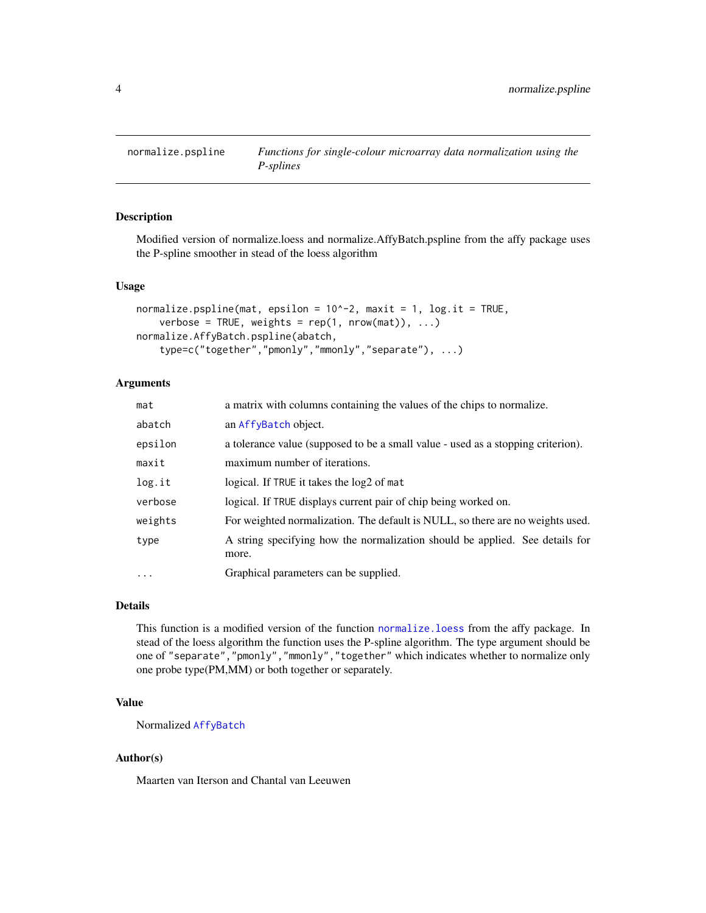<span id="page-3-1"></span><span id="page-3-0"></span>

# <span id="page-3-2"></span>Description

Modified version of normalize.loess and normalize.AffyBatch.pspline from the affy package uses the P-spline smoother in stead of the loess algorithm

#### Usage

```
normalize.psplit(mat, epsilon = 10^2-2, maxit = 1, log.it = TRUE,verbose = TRUE, weights = rep(1, nrow(mat)), ...)normalize.AffyBatch.pspline(abatch,
    type=c("together","pmonly","mmonly","separate"), ...)
```
# Arguments

| mat               | a matrix with columns containing the values of the chips to normalize.                |
|-------------------|---------------------------------------------------------------------------------------|
| abatch            | an AffyBatch object.                                                                  |
| epsilon           | a tolerance value (supposed to be a small value - used as a stopping criterion).      |
| maxit             | maximum number of iterations.                                                         |
| log.it            | logical. If TRUE it takes the log2 of mat                                             |
| verbose           | logical. If TRUE displays current pair of chip being worked on.                       |
| weights           | For weighted normalization. The default is NULL, so there are no weights used.        |
| type              | A string specifying how the normalization should be applied. See details for<br>more. |
| $\cdot\cdot\cdot$ | Graphical parameters can be supplied.                                                 |

#### Details

This function is a modified version of the function [normalize.loess](#page-0-0) from the affy package. In stead of the loess algorithm the function uses the P-spline algorithm. The type argument should be one of "separate","pmonly","mmonly","together" which indicates whether to normalize only one probe type(PM,MM) or both together or separately.

# Value

Normalized [AffyBatch](#page-0-0)

#### Author(s)

Maarten van Iterson and Chantal van Leeuwen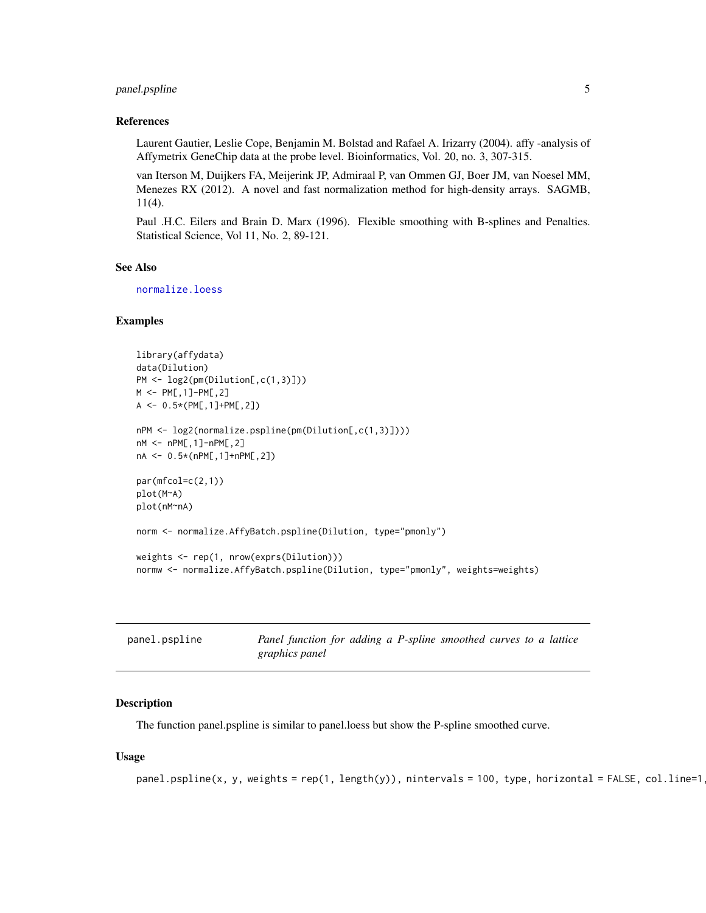# <span id="page-4-0"></span>panel.pspline 5

#### References

Laurent Gautier, Leslie Cope, Benjamin M. Bolstad and Rafael A. Irizarry (2004). affy -analysis of Affymetrix GeneChip data at the probe level. Bioinformatics, Vol. 20, no. 3, 307-315.

van Iterson M, Duijkers FA, Meijerink JP, Admiraal P, van Ommen GJ, Boer JM, van Noesel MM, Menezes RX (2012). A novel and fast normalization method for high-density arrays. SAGMB, 11(4).

Paul .H.C. Eilers and Brain D. Marx (1996). Flexible smoothing with B-splines and Penalties. Statistical Science, Vol 11, No. 2, 89-121.

#### See Also

[normalize.loess](#page-0-0)

# Examples

```
library(affydata)
data(Dilution)
PM <- log2(pm(Dilution[,c(1,3)]))
M <- PM[,1]-PM[,2]
A <- 0.5*(PM[,1]+PM[,2])
nPM <- log2(normalize.pspline(pm(Dilution[,c(1,3)])))
nM <- nPM[,1]-nPM[,2]
nA <- 0.5*(nPM[,1]+nPM[,2])
par(mfcol=c(2,1))plot(M~A)
plot(nM~nA)
norm <- normalize.AffyBatch.pspline(Dilution, type="pmonly")
weights <- rep(1, nrow(exprs(Dilution)))
normw <- normalize.AffyBatch.pspline(Dilution, type="pmonly", weights=weights)
```
<span id="page-4-1"></span>

| panel.pspline | Panel function for adding a P-spline smoothed curves to a lattice |
|---------------|-------------------------------------------------------------------|
|               | graphics panel                                                    |

#### **Description**

The function panel.pspline is similar to panel.loess but show the P-spline smoothed curve.

#### Usage

```
panel.psplit(s, y, weights = rep(1, length(y)), nintervals = 100, type, horizontal = FALSE, col.line=1, ]
```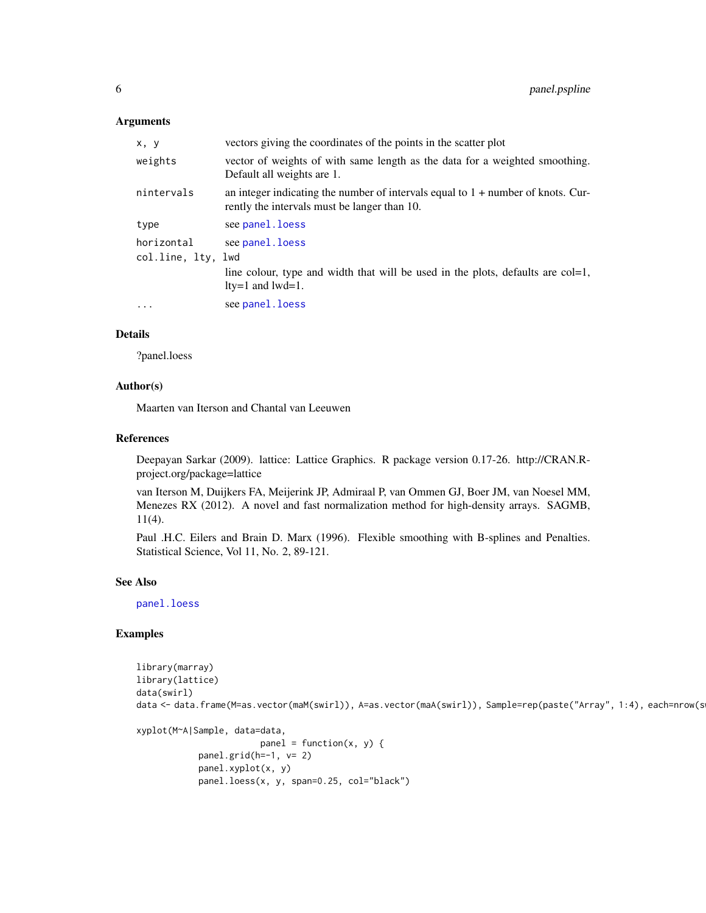### **Arguments**

| vectors giving the coordinates of the points in the scatter plot                                                                   |
|------------------------------------------------------------------------------------------------------------------------------------|
| vector of weights of with same length as the data for a weighted smoothing.<br>Default all weights are 1.                          |
| an integer indicating the number of intervals equal to $1 +$ number of knots. Cur-<br>rently the intervals must be langer than 10. |
| see panel. loess                                                                                                                   |
| see panel. loess                                                                                                                   |
| col.line, lty, lwd                                                                                                                 |
| line colour, type and width that will be used in the plots, defaults are col=1,                                                    |
| $lty=1$ and $lwd=1$ .                                                                                                              |
| see panel. loess                                                                                                                   |
|                                                                                                                                    |

#### Details

?panel.loess

# Author(s)

Maarten van Iterson and Chantal van Leeuwen

# References

Deepayan Sarkar (2009). lattice: Lattice Graphics. R package version 0.17-26. http://CRAN.Rproject.org/package=lattice

van Iterson M, Duijkers FA, Meijerink JP, Admiraal P, van Ommen GJ, Boer JM, van Noesel MM, Menezes RX (2012). A novel and fast normalization method for high-density arrays. SAGMB, 11(4).

Paul .H.C. Eilers and Brain D. Marx (1996). Flexible smoothing with B-splines and Penalties. Statistical Science, Vol 11, No. 2, 89-121.

#### See Also

[panel.loess](#page-0-0)

# Examples

```
library(marray)
library(lattice)
data(swirl)
data <- data.frame(M=as.vector(maM(swirl)), A=as.vector(maA(swirl)), Sample=rep(paste("Array", 1:4), each=nrow(s
xyplot(M~A|Sample, data=data,
                        panel = function(x, y) {
            panel.grid(h=-1, v= 2)
            panel.xyplot(x, y)
```

```
panel.loess(x, y, span=0.25, col="black")
```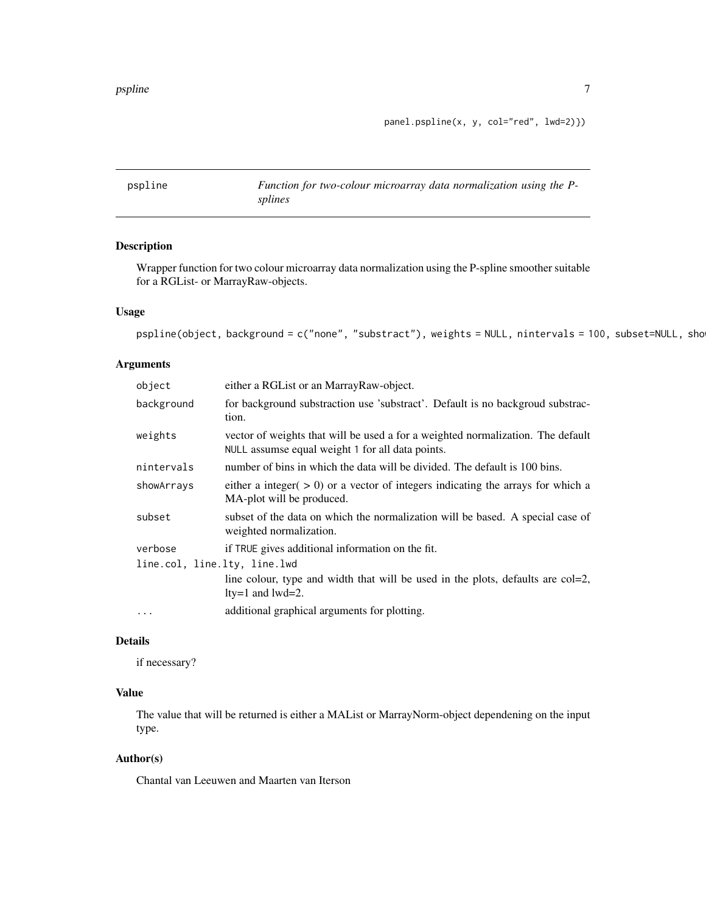panel.pspline(x, y, col="red", lwd=2)})

<span id="page-6-1"></span><span id="page-6-0"></span>

| pspline | Function for two-colour microarray data normalization using the P- |
|---------|--------------------------------------------------------------------|
|         | splines                                                            |

# Description

Wrapper function for two colour microarray data normalization using the P-spline smoother suitable for a RGList- or MarrayRaw-objects.

# Usage

```
pspline(object, background = c("none", "substract"), weights = NULL, nintervals = 100, subset=NULL, sho
```
# Arguments

| object                       | either a RGL ist or an Marray Raw-object.                                                                                           |
|------------------------------|-------------------------------------------------------------------------------------------------------------------------------------|
| background                   | for background substraction use 'substract'. Default is no backgroud substrac-<br>tion.                                             |
| weights                      | vector of weights that will be used a for a weighted normalization. The default<br>NULL assumse equal weight 1 for all data points. |
| nintervals                   | number of bins in which the data will be divided. The default is 100 bins.                                                          |
| showArrays                   | either a integer $(0, 0)$ or a vector of integers indicating the arrays for which a<br>MA-plot will be produced.                    |
| subset                       | subset of the data on which the normalization will be based. A special case of<br>weighted normalization.                           |
| verbose                      | if TRUE gives additional information on the fit.                                                                                    |
| line.col, line.lty, line.lwd |                                                                                                                                     |
|                              | line colour, type and width that will be used in the plots, defaults are col=2,<br>$lty=1$ and $lwd=2$ .                            |
| $\cdots$                     | additional graphical arguments for plotting.                                                                                        |

# Details

if necessary?

# Value

The value that will be returned is either a MAList or MarrayNorm-object dependening on the input type.

# Author(s)

Chantal van Leeuwen and Maarten van Iterson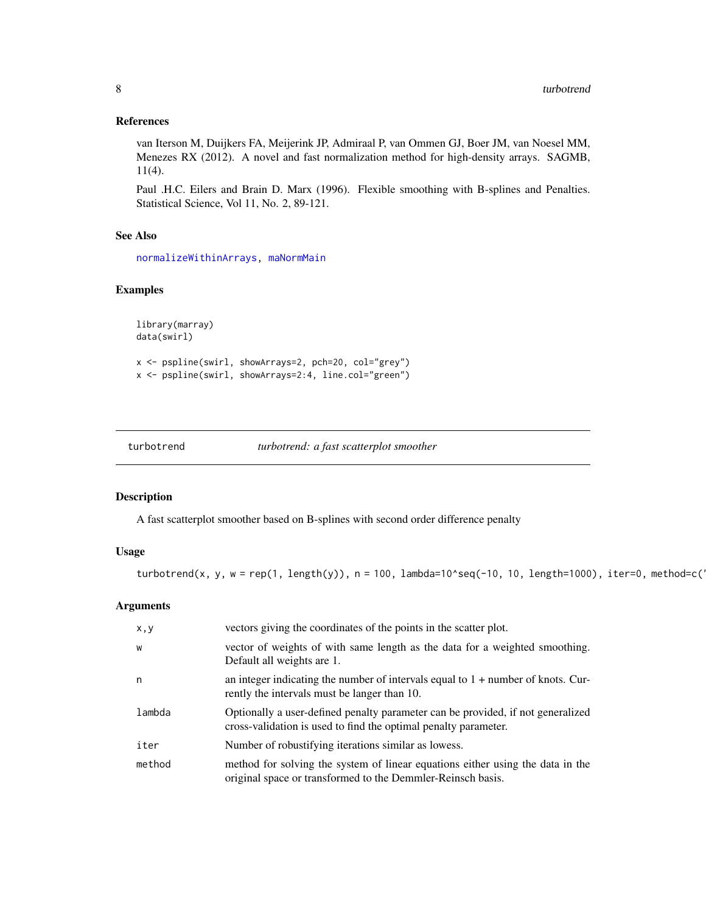### <span id="page-7-0"></span>References

van Iterson M, Duijkers FA, Meijerink JP, Admiraal P, van Ommen GJ, Boer JM, van Noesel MM, Menezes RX (2012). A novel and fast normalization method for high-density arrays. SAGMB, 11(4).

Paul .H.C. Eilers and Brain D. Marx (1996). Flexible smoothing with B-splines and Penalties. Statistical Science, Vol 11, No. 2, 89-121.

# See Also

[normalizeWithinArrays,](#page-0-0) [maNormMain](#page-0-0)

# Examples

```
library(marray)
data(swirl)
x <- pspline(swirl, showArrays=2, pch=20, col="grey")
x <- pspline(swirl, showArrays=2:4, line.col="green")
```
<span id="page-7-1"></span>

| turbotrend | turbotrend: a fast scatterplot smoother |  |  |
|------------|-----------------------------------------|--|--|
|------------|-----------------------------------------|--|--|

# Description

A fast scatterplot smoother based on B-splines with second order difference penalty

# Usage

turbotrend(x, y, w = rep(1, length(y)), n = 100, lambda=10^seq(-10, 10, length=1000), iter=0, method=c("

# Arguments

| x, y   | vectors giving the coordinates of the points in the scatter plot.                                                                                  |
|--------|----------------------------------------------------------------------------------------------------------------------------------------------------|
| W      | vector of weights of with same length as the data for a weighted smoothing.<br>Default all weights are 1.                                          |
| n      | an integer indicating the number of intervals equal to $1 +$ number of knots. Cur-<br>rently the intervals must be langer than 10.                 |
| lambda | Optionally a user-defined penalty parameter can be provided, if not generalized<br>cross-validation is used to find the optimal penalty parameter. |
| iter   | Number of robustifying iterations similar as lowess.                                                                                               |
| method | method for solving the system of linear equations either using the data in the<br>original space or transformed to the Demmler-Reinsch basis.      |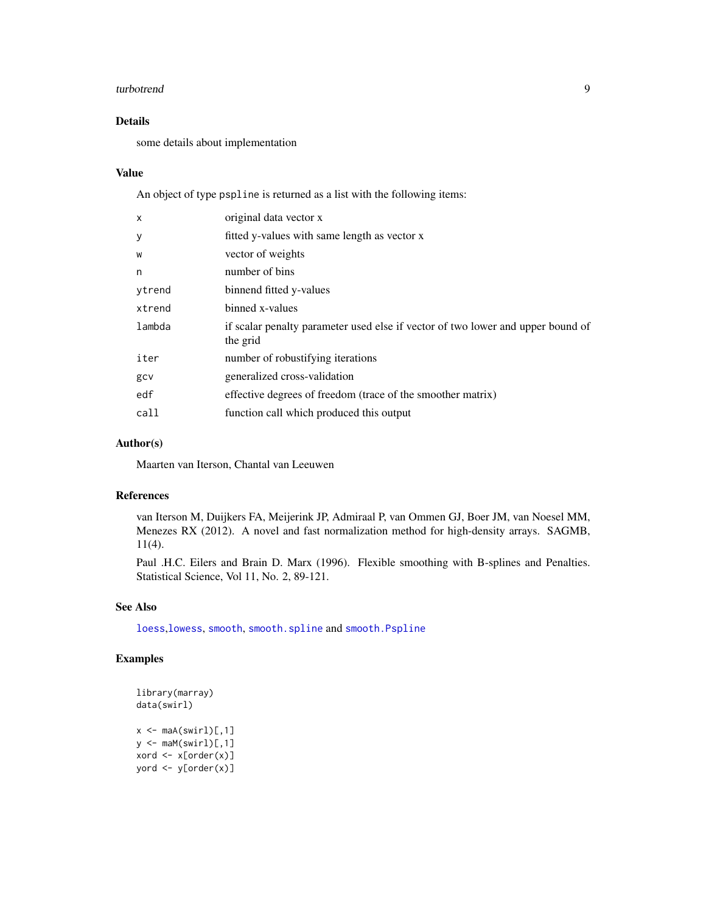#### turbotrend 9

# Details

some details about implementation

#### Value

An object of type pspline is returned as a list with the following items:

| X      | original data vector x                                                                      |
|--------|---------------------------------------------------------------------------------------------|
| У      | fitted y-values with same length as vector x                                                |
| W      | vector of weights                                                                           |
| n      | number of bins                                                                              |
| ytrend | binnend fitted y-values                                                                     |
| xtrend | binned x-values                                                                             |
| lambda | if scalar penalty parameter used else if vector of two lower and upper bound of<br>the grid |
| iter   | number of robustifying iterations                                                           |
| gcv    | generalized cross-validation                                                                |
| edf    | effective degrees of freedom (trace of the smoother matrix)                                 |
| call   | function call which produced this output                                                    |
|        |                                                                                             |

# Author(s)

Maarten van Iterson, Chantal van Leeuwen

# References

van Iterson M, Duijkers FA, Meijerink JP, Admiraal P, van Ommen GJ, Boer JM, van Noesel MM, Menezes RX (2012). A novel and fast normalization method for high-density arrays. SAGMB, 11(4).

Paul .H.C. Eilers and Brain D. Marx (1996). Flexible smoothing with B-splines and Penalties. Statistical Science, Vol 11, No. 2, 89-121.

# See Also

[loess](#page-0-0),[lowess](#page-0-0), [smooth](#page-0-0), [smooth.spline](#page-0-0) and [smooth.Pspline](#page-0-0)

# Examples

```
library(marray)
data(swirl)
x \leq - \text{mad}(\text{swirl})[,1]y \leftarrow \text{maM(swin1)}[, 1]xord <- x[order(x)]
yord <- y[order(x)]
```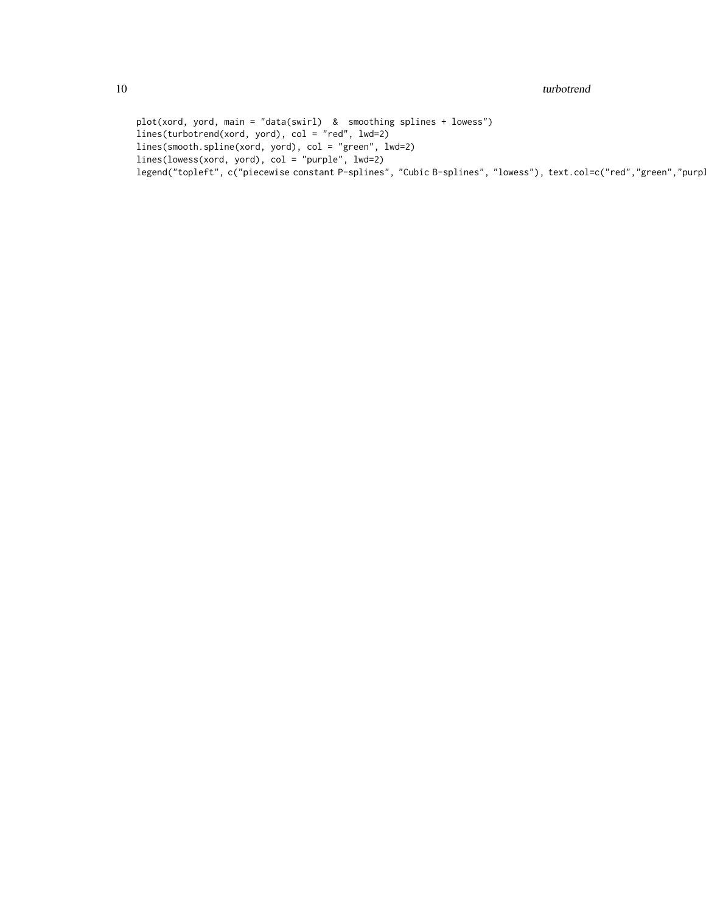#### 10 turbotrend to the contract of the contract of the contract of the contract of the contract of the contract of the contract of the contract of the contract of the contract of the contract of the contract of the contract

plot(xord, yord, main = "data(swirl) & smoothing splines + lowess") lines(turbotrend(xord, yord), col = "red", lwd=2) lines(smooth.spline(xord, yord), col = "green", lwd=2) lines(lowess(xord, yord), col = "purple", lwd=2) legend("topleft", c("piecewise constant P-splines", "Cubic B-splines", "lowess"), text.col=c("red","green","purp